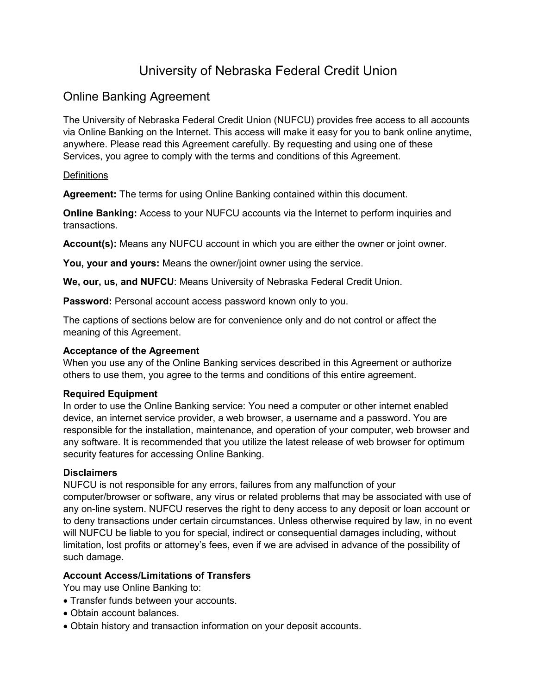# University of Nebraska Federal Credit Union

## Online Banking Agreement

The University of Nebraska Federal Credit Union (NUFCU) provides free access to all accounts via Online Banking on the Internet. This access will make it easy for you to bank online anytime, anywhere. Please read this Agreement carefully. By requesting and using one of these Services, you agree to comply with the terms and conditions of this Agreement.

## **Definitions**

**Agreement:** The terms for using Online Banking contained within this document.

**Online Banking:** Access to your NUFCU accounts via the Internet to perform inquiries and transactions.

Account(s): Means any NUFCU account in which you are either the owner or joint owner.

**You, your and yours:** Means the owner/joint owner using the service.

**We, our, us, and NUFCU**: Means University of Nebraska Federal Credit Union.

**Password:** Personal account access password known only to you.

The captions of sections below are for convenience only and do not control or affect the meaning of this Agreement.

## **Acceptance of the Agreement**

When you use any of the Online Banking services described in this Agreement or authorize others to use them, you agree to the terms and conditions of this entire agreement.

## **Required Equipment**

In order to use the Online Banking service: You need a computer or other internet enabled device, an internet service provider, a web browser, a username and a password. You are responsible for the installation, maintenance, and operation of your computer, web browser and any software. It is recommended that you utilize the latest release of web browser for optimum security features for accessing Online Banking.

## **Disclaimers**

NUFCU is not responsible for any errors, failures from any malfunction of your computer/browser or software, any virus or related problems that may be associated with use of any on-line system. NUFCU reserves the right to deny access to any deposit or loan account or to deny transactions under certain circumstances. Unless otherwise required by law, in no event will NUFCU be liable to you for special, indirect or consequential damages including, without limitation, lost profits or attorney's fees, even if we are advised in advance of the possibility of such damage.

## **Account Access/Limitations of Transfers**

You may use Online Banking to:

- Transfer funds between your accounts.
- Obtain account balances.
- Obtain history and transaction information on your deposit accounts.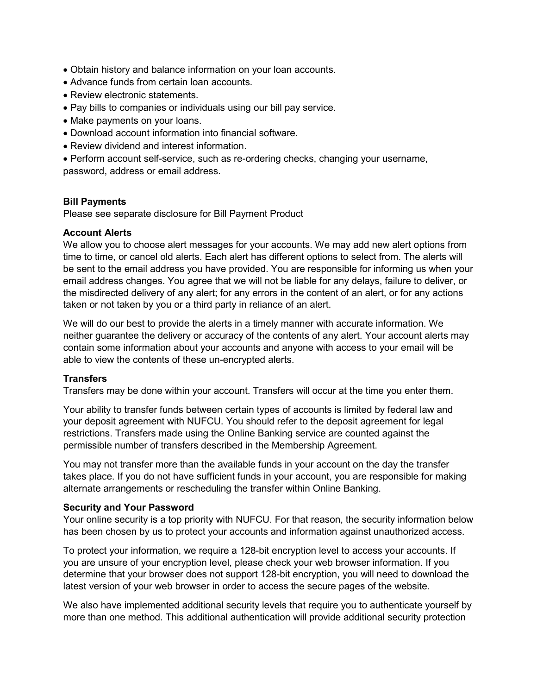- Obtain history and balance information on your loan accounts.
- Advance funds from certain loan accounts.
- Review electronic statements
- Pay bills to companies or individuals using our bill pay service.
- Make payments on your loans.
- Download account information into financial software.
- Review dividend and interest information.
- Perform account self-service, such as re-ordering checks, changing your username, password, address or email address.

#### **Bill Payments**

Please see separate disclosure for Bill Payment Product

#### **Account Alerts**

We allow you to choose alert messages for your accounts. We may add new alert options from time to time, or cancel old alerts. Each alert has different options to select from. The alerts will be sent to the email address you have provided. You are responsible for informing us when your email address changes. You agree that we will not be liable for any delays, failure to deliver, or the misdirected delivery of any alert; for any errors in the content of an alert, or for any actions taken or not taken by you or a third party in reliance of an alert.

We will do our best to provide the alerts in a timely manner with accurate information. We neither guarantee the delivery or accuracy of the contents of any alert. Your account alerts may contain some information about your accounts and anyone with access to your email will be able to view the contents of these un-encrypted alerts.

## **Transfers**

Transfers may be done within your account. Transfers will occur at the time you enter them.

Your ability to transfer funds between certain types of accounts is limited by federal law and your deposit agreement with NUFCU. You should refer to the deposit agreement for legal restrictions. Transfers made using the Online Banking service are counted against the permissible number of transfers described in the Membership Agreement.

You may not transfer more than the available funds in your account on the day the transfer takes place. If you do not have sufficient funds in your account, you are responsible for making alternate arrangements or rescheduling the transfer within Online Banking.

#### **Security and Your Password**

Your online security is a top priority with NUFCU. For that reason, the security information below has been chosen by us to protect your accounts and information against unauthorized access.

To protect your information, we require a 128-bit encryption level to access your accounts. If you are unsure of your encryption level, please check your web browser information. If you determine that your browser does not support 128-bit encryption, you will need to download the latest version of your web browser in order to access the secure pages of the website.

We also have implemented additional security levels that require you to authenticate yourself by more than one method. This additional authentication will provide additional security protection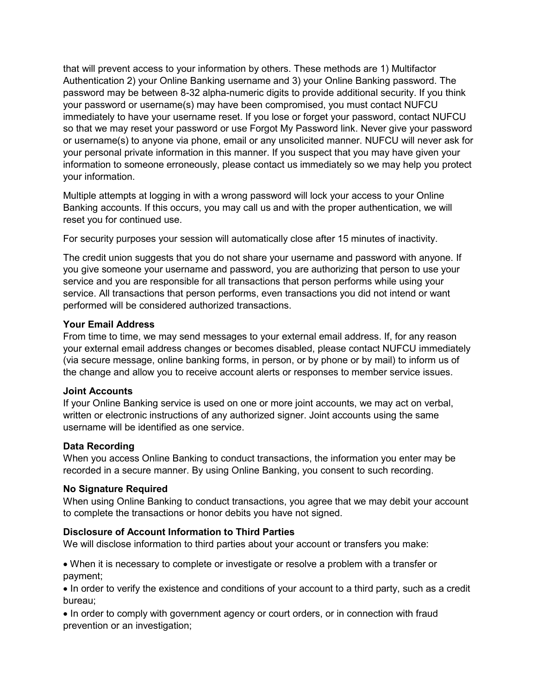that will prevent access to your information by others. These methods are 1) Multifactor Authentication 2) your Online Banking username and 3) your Online Banking password. The password may be between 8-32 alpha-numeric digits to provide additional security. If you think your password or username(s) may have been compromised, you must contact NUFCU immediately to have your username reset. If you lose or forget your password, contact NUFCU so that we may reset your password or use Forgot My Password link. Never give your password or username(s) to anyone via phone, email or any unsolicited manner. NUFCU will never ask for your personal private information in this manner. If you suspect that you may have given your information to someone erroneously, please contact us immediately so we may help you protect your information.

Multiple attempts at logging in with a wrong password will lock your access to your Online Banking accounts. If this occurs, you may call us and with the proper authentication, we will reset you for continued use.

For security purposes your session will automatically close after 15 minutes of inactivity.

The credit union suggests that you do not share your username and password with anyone. If you give someone your username and password, you are authorizing that person to use your service and you are responsible for all transactions that person performs while using your service. All transactions that person performs, even transactions you did not intend or want performed will be considered authorized transactions.

## **Your Email Address**

From time to time, we may send messages to your external email address. If, for any reason your external email address changes or becomes disabled, please contact NUFCU immediately (via secure message, online banking forms, in person, or by phone or by mail) to inform us of the change and allow you to receive account alerts or responses to member service issues.

#### **Joint Accounts**

If your Online Banking service is used on one or more joint accounts, we may act on verbal, written or electronic instructions of any authorized signer. Joint accounts using the same username will be identified as one service.

#### **Data Recording**

When you access Online Banking to conduct transactions, the information you enter may be recorded in a secure manner. By using Online Banking, you consent to such recording.

#### **No Signature Required**

When using Online Banking to conduct transactions, you agree that we may debit your account to complete the transactions or honor debits you have not signed.

#### **Disclosure of Account Information to Third Parties**

We will disclose information to third parties about your account or transfers you make:

• When it is necessary to complete or investigate or resolve a problem with a transfer or payment;

• In order to verify the existence and conditions of your account to a third party, such as a credit bureau;

• In order to comply with government agency or court orders, or in connection with fraud prevention or an investigation;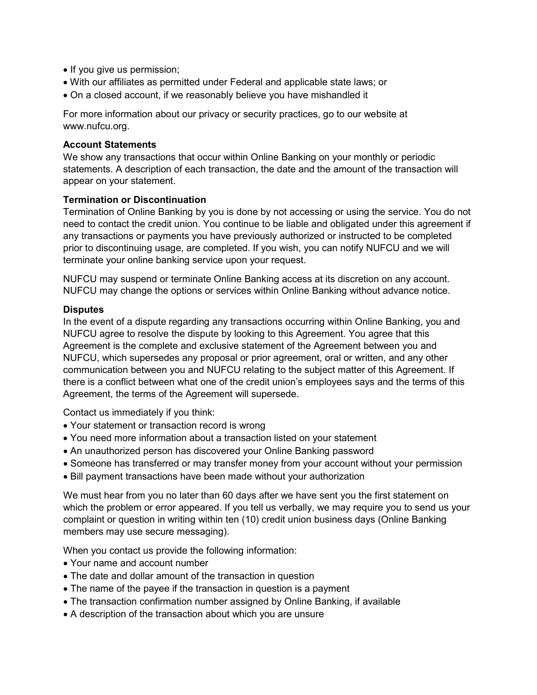- If you give us permission;
- With our affiliates as permitted under Federal and applicable state laws; or
- On a closed account, if we reasonably believe you have mishandled it

For more information about our privacy or security practices, go to our website at www.nufcu.org.

#### **Account Statements**

We show any transactions that occur within Online Banking on your monthly or periodic statements. A description of each transaction, the date and the amount of the transaction will appear on your statement.

## **Termination or Discontinuation**

Termination of Online Banking by you is done by not accessing or using the service. You do not need to contact the credit union. You continue to be liable and obligated under this agreement if any transactions or payments you have previously authorized or instructed to be completed prior to discontinuing usage, are completed. If you wish, you can notify NUFCU and we will terminate your online banking service upon your request.

NUFCU may suspend or terminate Online Banking access at its discretion on any account. NUFCU may change the options or services within Online Banking without advance notice.

#### **Disputes**

In the event of a dispute regarding any transactions occurring within Online Banking, you and NUFCU agree to resolve the dispute by looking to this Agreement. You agree that this Agreement is the complete and exclusive statement of the Agreement between you and NUFCU, which supersedes any proposal or prior agreement, oral or written, and any other communication between you and NUFCU relating to the subject matter of this Agreement. If there is a conflict between what one of the credit union's employees says and the terms of this Agreement, the terms of the Agreement will supersede.

Contact us immediately if you think:

- Your statement or transaction record is wrong
- You need more information about a transaction listed on your statement
- An unauthorized person has discovered your Online Banking password
- Someone has transferred or may transfer money from your account without your permission
- Bill payment transactions have been made without your authorization

We must hear from you no later than 60 days after we have sent you the first statement on which the problem or error appeared. If you tell us verbally, we may require you to send us your complaint or question in writing within ten (10) credit union business days (Online Banking members may use secure messaging).

When you contact us provide the following information:

- Your name and account number
- The date and dollar amount of the transaction in question
- The name of the payee if the transaction in question is a payment
- The transaction confirmation number assigned by Online Banking, if available
- A description of the transaction about which you are unsure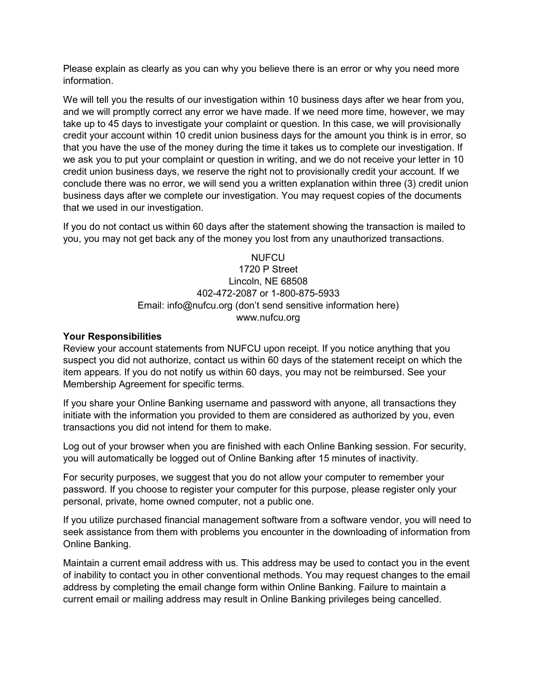Please explain as clearly as you can why you believe there is an error or why you need more information.

We will tell you the results of our investigation within 10 business days after we hear from you, and we will promptly correct any error we have made. If we need more time, however, we may take up to 45 days to investigate your complaint or question. In this case, we will provisionally credit your account within 10 credit union business days for the amount you think is in error, so that you have the use of the money during the time it takes us to complete our investigation. If we ask you to put your complaint or question in writing, and we do not receive your letter in 10 credit union business days, we reserve the right not to provisionally credit your account. If we conclude there was no error, we will send you a written explanation within three (3) credit union business days after we complete our investigation. You may request copies of the documents that we used in our investigation.

If you do not contact us within 60 days after the statement showing the transaction is mailed to you, you may not get back any of the money you lost from any unauthorized transactions.

## **NUFCU** 1720 P Street Lincoln, NE 68508 402-472-2087 or 1-800-875-5933 Email: info@nufcu.org (don't send sensitive information here) www.nufcu.org

## **Your Responsibilities**

Review your account statements from NUFCU upon receipt. If you notice anything that you suspect you did not authorize, contact us within 60 days of the statement receipt on which the item appears. If you do not notify us within 60 days, you may not be reimbursed. See your Membership Agreement for specific terms.

If you share your Online Banking username and password with anyone, all transactions they initiate with the information you provided to them are considered as authorized by you, even transactions you did not intend for them to make.

Log out of your browser when you are finished with each Online Banking session. For security, you will automatically be logged out of Online Banking after 15 minutes of inactivity.

For security purposes, we suggest that you do not allow your computer to remember your password. If you choose to register your computer for this purpose, please register only your personal, private, home owned computer, not a public one.

If you utilize purchased financial management software from a software vendor, you will need to seek assistance from them with problems you encounter in the downloading of information from Online Banking.

Maintain a current email address with us. This address may be used to contact you in the event of inability to contact you in other conventional methods. You may request changes to the email address by completing the email change form within Online Banking. Failure to maintain a current email or mailing address may result in Online Banking privileges being cancelled.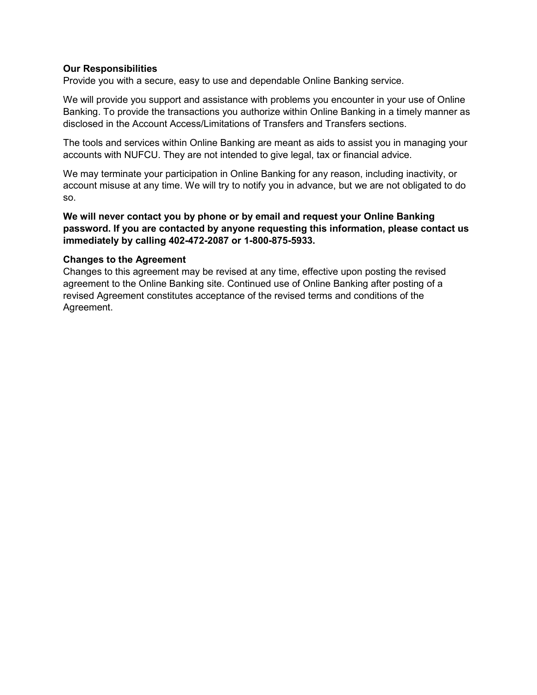## **Our Responsibilities**

Provide you with a secure, easy to use and dependable Online Banking service.

We will provide you support and assistance with problems you encounter in your use of Online Banking. To provide the transactions you authorize within Online Banking in a timely manner as disclosed in the Account Access/Limitations of Transfers and Transfers sections.

The tools and services within Online Banking are meant as aids to assist you in managing your accounts with NUFCU. They are not intended to give legal, tax or financial advice.

We may terminate your participation in Online Banking for any reason, including inactivity, or account misuse at any time. We will try to notify you in advance, but we are not obligated to do so.

**We will never contact you by phone or by email and request your Online Banking password. If you are contacted by anyone requesting this information, please contact us immediately by calling 402-472-2087 or 1-800-875-5933.** 

## **Changes to the Agreement**

Changes to this agreement may be revised at any time, effective upon posting the revised agreement to the Online Banking site. Continued use of Online Banking after posting of a revised Agreement constitutes acceptance of the revised terms and conditions of the Agreement.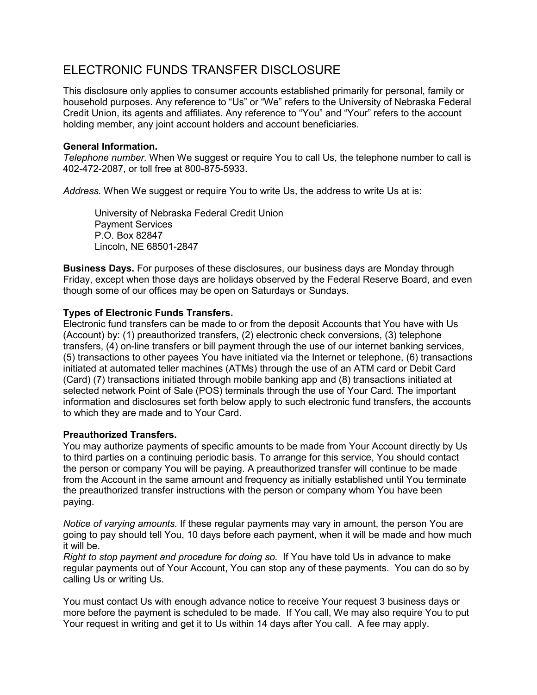## ELECTRONIC FUNDS TRANSFER DISCLOSURE

This disclosure only applies to consumer accounts established primarily for personal, family or household purposes. Any reference to "Us" or "We" refers to the University of Nebraska Federal Credit Union, its agents and affiliates. Any reference to "You" and "Your" refers to the account holding member, any joint account holders and account beneficiaries.

## **General Information.**

*Telephone number.* When We suggest or require You to call Us, the telephone number to call is 402-472-2087, or toll free at 800-875-5933.

*Address.* When We suggest or require You to write Us, the address to write Us at is:

University of Nebraska Federal Credit Union Payment Services P.O. Box 82847 Lincoln, NE 68501-2847

**Business Days.** For purposes of these disclosures, our business days are Monday through Friday, except when those days are holidays observed by the Federal Reserve Board, and even though some of our offices may be open on Saturdays or Sundays.

## **Types of Electronic Funds Transfers.**

Electronic fund transfers can be made to or from the deposit Accounts that You have with Us (Account) by: (1) preauthorized transfers, (2) electronic check conversions, (3) telephone transfers, (4) on-line transfers or bill payment through the use of our internet banking services, (5) transactions to other payees You have initiated via the Internet or telephone, (6) transactions initiated at automated teller machines (ATMs) through the use of an ATM card or Debit Card (Card) (7) transactions initiated through mobile banking app and (8) transactions initiated at selected network Point of Sale (POS) terminals through the use of Your Card. The important information and disclosures set forth below apply to such electronic fund transfers, the accounts to which they are made and to Your Card.

## **Preauthorized Transfers.**

You may authorize payments of specific amounts to be made from Your Account directly by Us to third parties on a continuing periodic basis. To arrange for this service, You should contact the person or company You will be paying. A preauthorized transfer will continue to be made from the Account in the same amount and frequency as initially established until You terminate the preauthorized transfer instructions with the person or company whom You have been paying.

*Notice of varying amounts.* If these regular payments may vary in amount, the person You are going to pay should tell You, 10 days before each payment, when it will be made and how much it will be.

*Right to stop payment and procedure for doing so.* If You have told Us in advance to make regular payments out of Your Account, You can stop any of these payments. You can do so by calling Us or writing Us.

You must contact Us with enough advance notice to receive Your request 3 business days or more before the payment is scheduled to be made. If You call, We may also require You to put Your request in writing and get it to Us within 14 days after You call. A fee may apply.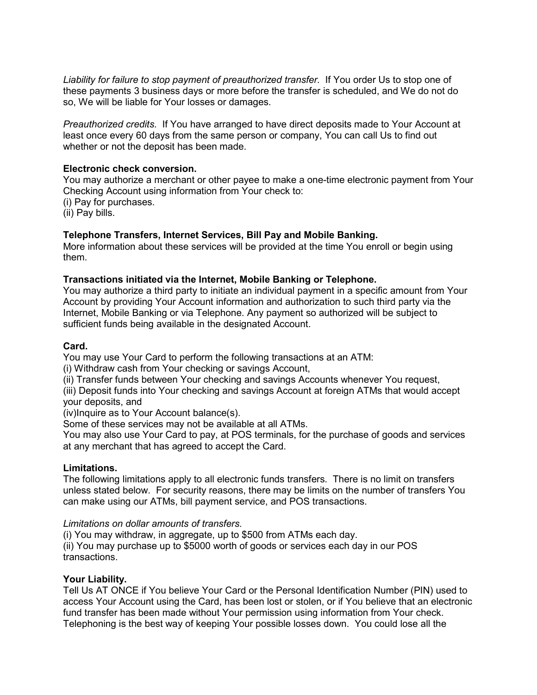*Liability for failure to stop payment of preauthorized transfer.* If You order Us to stop one of these payments 3 business days or more before the transfer is scheduled, and We do not do so, We will be liable for Your losses or damages.

*Preauthorized credits.* If You have arranged to have direct deposits made to Your Account at least once every 60 days from the same person or company, You can call Us to find out whether or not the deposit has been made.

## **Electronic check conversion.**

You may authorize a merchant or other payee to make a one-time electronic payment from Your Checking Account using information from Your check to:

(i) Pay for purchases.

(ii) Pay bills.

## **Telephone Transfers, Internet Services, Bill Pay and Mobile Banking.**

More information about these services will be provided at the time You enroll or begin using them.

#### **Transactions initiated via the Internet, Mobile Banking or Telephone.**

You may authorize a third party to initiate an individual payment in a specific amount from Your Account by providing Your Account information and authorization to such third party via the Internet, Mobile Banking or via Telephone. Any payment so authorized will be subject to sufficient funds being available in the designated Account.

#### **Card.**

You may use Your Card to perform the following transactions at an ATM:

(i) Withdraw cash from Your checking or savings Account,

(ii) Transfer funds between Your checking and savings Accounts whenever You request,

(iii) Deposit funds into Your checking and savings Account at foreign ATMs that would accept your deposits, and

(iv)Inquire as to Your Account balance(s).

Some of these services may not be available at all ATMs.

You may also use Your Card to pay, at POS terminals, for the purchase of goods and services at any merchant that has agreed to accept the Card.

#### **Limitations.**

The following limitations apply to all electronic funds transfers. There is no limit on transfers unless stated below. For security reasons, there may be limits on the number of transfers You can make using our ATMs, bill payment service, and POS transactions.

#### *Limitations on dollar amounts of transfers.*

(i) You may withdraw, in aggregate, up to \$500 from ATMs each day.

(ii) You may purchase up to \$5000 worth of goods or services each day in our POS transactions.

## **Your Liability.**

Tell Us AT ONCE if You believe Your Card or the Personal Identification Number (PIN) used to access Your Account using the Card, has been lost or stolen, or if You believe that an electronic fund transfer has been made without Your permission using information from Your check. Telephoning is the best way of keeping Your possible losses down. You could lose all the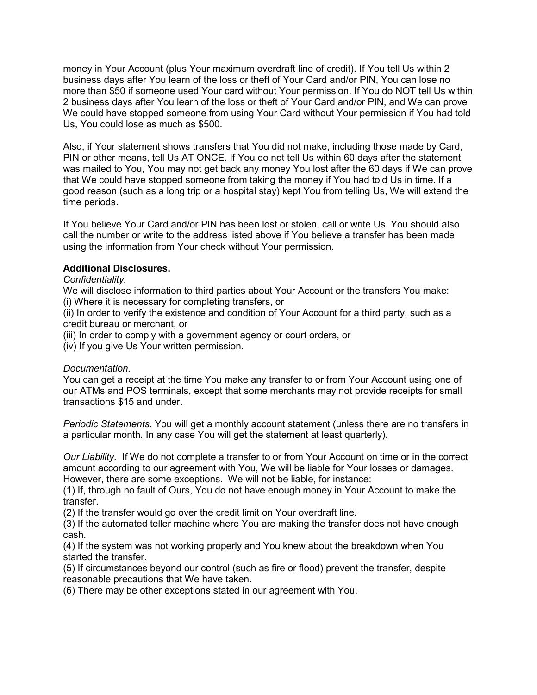money in Your Account (plus Your maximum overdraft line of credit). If You tell Us within 2 business days after You learn of the loss or theft of Your Card and/or PIN, You can lose no more than \$50 if someone used Your card without Your permission. If You do NOT tell Us within 2 business days after You learn of the loss or theft of Your Card and/or PIN, and We can prove We could have stopped someone from using Your Card without Your permission if You had told Us, You could lose as much as \$500.

Also, if Your statement shows transfers that You did not make, including those made by Card, PIN or other means, tell Us AT ONCE. If You do not tell Us within 60 days after the statement was mailed to You, You may not get back any money You lost after the 60 days if We can prove that We could have stopped someone from taking the money if You had told Us in time. If a good reason (such as a long trip or a hospital stay) kept You from telling Us, We will extend the time periods.

If You believe Your Card and/or PIN has been lost or stolen, call or write Us. You should also call the number or write to the address listed above if You believe a transfer has been made using the information from Your check without Your permission.

## **Additional Disclosures.**

#### *Confidentiality.*

We will disclose information to third parties about Your Account or the transfers You make: (i) Where it is necessary for completing transfers, or

(ii) In order to verify the existence and condition of Your Account for a third party, such as a credit bureau or merchant, or

(iii) In order to comply with a government agency or court orders, or

(iv) If you give Us Your written permission.

#### *Documentation.*

You can get a receipt at the time You make any transfer to or from Your Account using one of our ATMs and POS terminals, except that some merchants may not provide receipts for small transactions \$15 and under.

*Periodic Statements.* You will get a monthly account statement (unless there are no transfers in a particular month. In any case You will get the statement at least quarterly).

*Our Liability.* If We do not complete a transfer to or from Your Account on time or in the correct amount according to our agreement with You, We will be liable for Your losses or damages. However, there are some exceptions. We will not be liable, for instance:

(1) If, through no fault of Ours, You do not have enough money in Your Account to make the transfer.

(2) If the transfer would go over the credit limit on Your overdraft line.

(3) If the automated teller machine where You are making the transfer does not have enough cash.

(4) If the system was not working properly and You knew about the breakdown when You started the transfer.

(5) If circumstances beyond our control (such as fire or flood) prevent the transfer, despite reasonable precautions that We have taken.

(6) There may be other exceptions stated in our agreement with You.